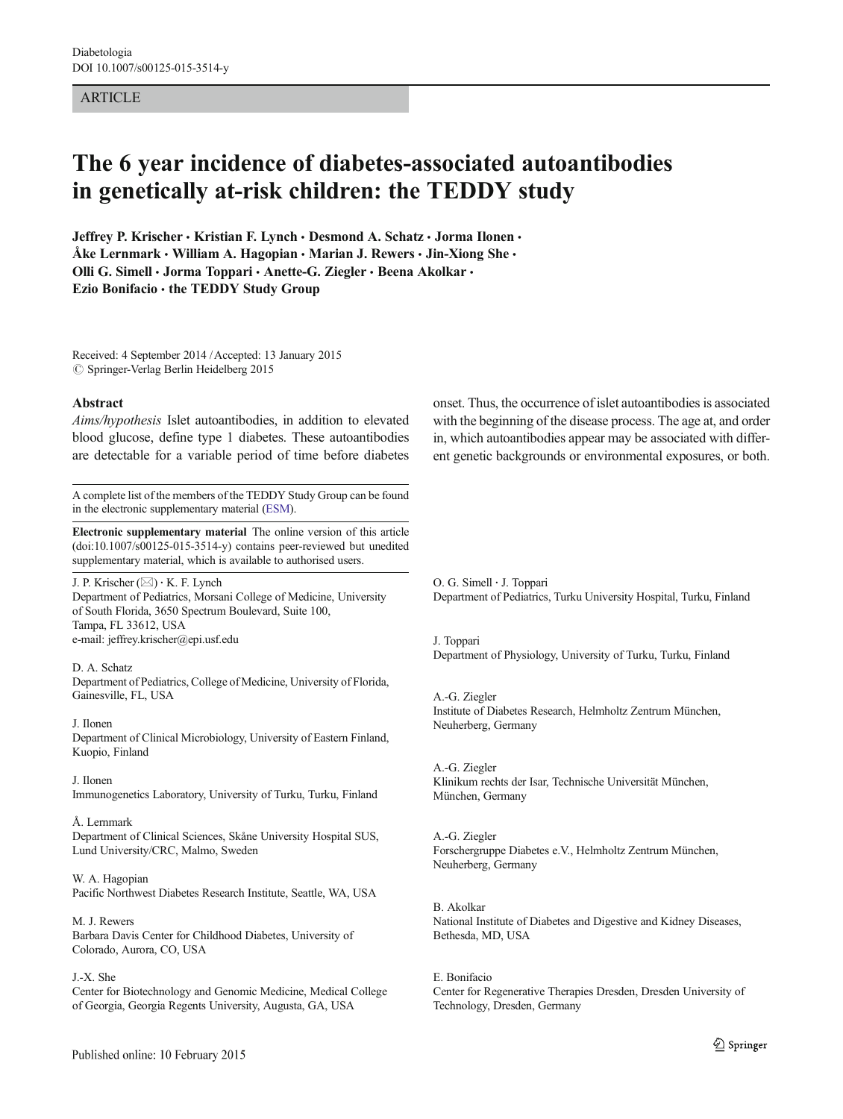### ARTICLE

# The 6 year incidence of diabetes-associated autoantibodies in genetically at-risk children: the TEDDY study

Jeffrey P. Krischer · Kristian F. Lynch · Desmond A. Schatz · Jorma Ilonen · Åke Lernmark · William A. Hagopian · Marian J. Rewers · Jin-Xiong She · Olli G. Simell · Jorma Toppari · Anette-G. Ziegler · Beena Akolkar · Ezio Bonifacio · the TEDDY Study Group

Received: 4 September 2014 /Accepted: 13 January 2015  $\oslash$  Springer-Verlag Berlin Heidelberg 2015

#### Abstract

Aims/hypothesis Islet autoantibodies, in addition to elevated blood glucose, define type 1 diabetes. These autoantibodies are detectable for a variable period of time before diabetes

A complete list of the members of the TEDDY Study Group can be found in the electronic supplementary material ([ESM\)](#page-6-0).

Electronic supplementary material The online version of this article (doi[:10.1007/s00125-015-3514-y\)](http://dx.doi.org/10.1007/s00125-015-3514-y) contains peer-reviewed but unedited supplementary material, which is available to authorised users.

J. P. Krischer  $(\boxtimes) \cdot$  K. F. Lynch Department of Pediatrics, Morsani College of Medicine, University of South Florida, 3650 Spectrum Boulevard, Suite 100, Tampa, FL 33612, USA e-mail: jeffrey.krischer@epi.usf.edu

#### D. A. Schatz

Department of Pediatrics, College of Medicine, University of Florida, Gainesville, FL, USA

J. Ilonen Department of Clinical Microbiology, University of Eastern Finland, Kuopio, Finland

#### J. Ilonen

Immunogenetics Laboratory, University of Turku, Turku, Finland

#### Å. Lernmark

Department of Clinical Sciences, Skåne University Hospital SUS, Lund University/CRC, Malmo, Sweden

W. A. Hagopian Pacific Northwest Diabetes Research Institute, Seattle, WA, USA

M. J. Rewers Barbara Davis Center for Childhood Diabetes, University of Colorado, Aurora, CO, USA

#### J.<X. She

Center for Biotechnology and Genomic Medicine, Medical College of Georgia, Georgia Regents University, Augusta, GA, USA

onset. Thus, the occurrence of islet autoantibodies is associated with the beginning of the disease process. The age at, and order in, which autoantibodies appear may be associated with different genetic backgrounds or environmental exposures, or both.

O. G. Simell : J. Toppari Department of Pediatrics, Turku University Hospital, Turku, Finland

J. Toppari Department of Physiology, University of Turku, Turku, Finland

A.<G. Ziegler Institute of Diabetes Research, Helmholtz Zentrum München, Neuherberg, Germany

A.<G. Ziegler Klinikum rechts der Isar, Technische Universität München, München, Germany

A.<G. Ziegler Forschergruppe Diabetes e.V., Helmholtz Zentrum München, Neuherberg, Germany

B. Akolkar National Institute of Diabetes and Digestive and Kidney Diseases, Bethesda, MD, USA

E. Bonifacio Center for Regenerative Therapies Dresden, Dresden University of Technology, Dresden, Germany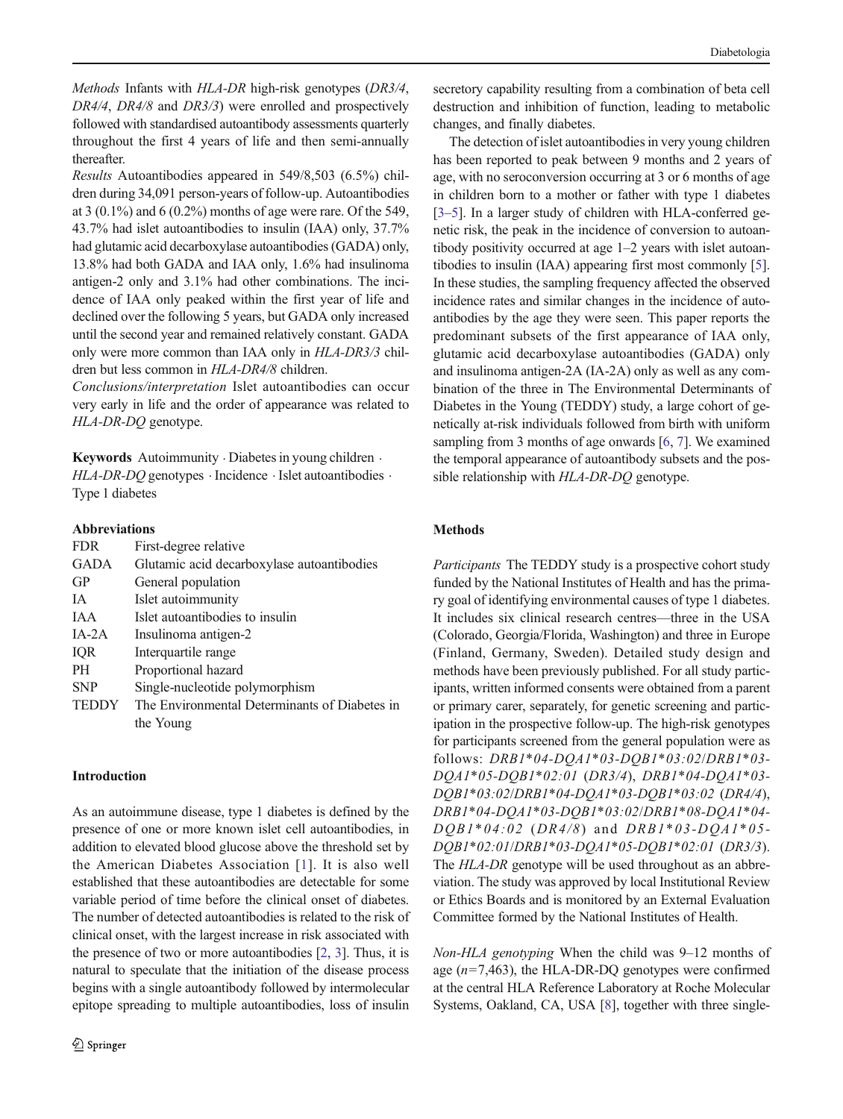Methods Infants with HLA-DR high-risk genotypes (DR3/4, DR4/4, DR4/8 and DR3/3) were enrolled and prospectively followed with standardised autoantibody assessments quarterly throughout the first 4 years of life and then semi-annually thereafter.

Results Autoantibodies appeared in 549/8,503 (6.5%) children during 34,091 person-years of follow-up. Autoantibodies at  $3(0.1\%)$  and  $6(0.2\%)$  months of age were rare. Of the 549, 43.7% had islet autoantibodies to insulin (IAA) only, 37.7% had glutamic acid decarboxylase autoantibodies (GADA) only, 13.8% had both GADA and IAA only, 1.6% had insulinoma antigen-2 only and 3.1% had other combinations. The incidence of IAA only peaked within the first year of life and declined over the following 5 years, but GADA only increased until the second year and remained relatively constant. GADA only were more common than IAA only in HLA-DR3/3 children but less common in HLA-DR4/8 children.

Conclusions/interpretation Islet autoantibodies can occur very early in life and the order of appearance was related to HLA-DR-DQ genotype.

Keywords Autoimmunity Diabetes in young children . HLA-DR-DQ genotypes · Incidence · Islet autoantibodies · Type 1 diabetes

#### Abbreviations

| <b>FDR</b>   | First-degree relative                         |
|--------------|-----------------------------------------------|
| <b>GADA</b>  | Glutamic acid decarboxylase autoantibodies    |
| GP           | General population                            |
| <b>IA</b>    | Islet autoimmunity                            |
| <b>JAA</b>   | Islet autoantibodies to insulin               |
| $IA-2A$      | Insulinoma antigen-2                          |
| IQR          | Interquartile range                           |
| <b>PH</b>    | Proportional hazard                           |
| <b>SNP</b>   | Single-nucleotide polymorphism                |
| <b>TEDDY</b> | The Environmental Determinants of Diabetes in |
|              | the Young                                     |
|              |                                               |

## Introduction

As an autoimmune disease, type 1 diabetes is defined by the presence of one or more known islet cell autoantibodies, in addition to elevated blood glucose above the threshold set by the American Diabetes Association [\[1\]](#page-7-0). It is also well established that these autoantibodies are detectable for some variable period of time before the clinical onset of diabetes. The number of detected autoantibodies is related to the risk of clinical onset, with the largest increase in risk associated with the presence of two or more autoantibodies [\[2](#page-7-0), [3\]](#page-7-0). Thus, it is natural to speculate that the initiation of the disease process begins with a single autoantibody followed by intermolecular epitope spreading to multiple autoantibodies, loss of insulin

secretory capability resulting from a combination of beta cell destruction and inhibition of function, leading to metabolic changes, and finally diabetes.

The detection of islet autoantibodies in very young children has been reported to peak between 9 months and 2 years of age, with no seroconversion occurring at 3 or 6 months of age in children born to a mother or father with type 1 diabetes [\[3](#page-7-0)–[5\]](#page-7-0). In a larger study of children with HLA-conferred genetic risk, the peak in the incidence of conversion to autoantibody positivity occurred at age 1–2 years with islet autoantibodies to insulin (IAA) appearing first most commonly [[5\]](#page-7-0). In these studies, the sampling frequency affected the observed incidence rates and similar changes in the incidence of autoantibodies by the age they were seen. This paper reports the predominant subsets of the first appearance of IAA only, glutamic acid decarboxylase autoantibodies (GADA) only and insulinoma antigen-2A (IA-2A) only as well as any combination of the three in The Environmental Determinants of Diabetes in the Young (TEDDY) study, a large cohort of genetically at-risk individuals followed from birth with uniform sampling from 3 months of age onwards [[6](#page-7-0), [7](#page-7-0)]. We examined the temporal appearance of autoantibody subsets and the possible relationship with HLA-DR-DQ genotype.

## Methods

Participants The TEDDY study is a prospective cohort study funded by the National Institutes of Health and has the primary goal of identifying environmental causes of type 1 diabetes. It includes six clinical research centres—three in the USA (Colorado, Georgia/Florida, Washington) and three in Europe (Finland, Germany, Sweden). Detailed study design and methods have been previously published. For all study participants, written informed consents were obtained from a parent or primary carer, separately, for genetic screening and participation in the prospective follow-up. The high-risk genotypes for participants screened from the general population were as follows: DRB1\*04-DQA1\*03-DQB1\*03:02/DRB1\*03- DQA1\*05-DQB1\*02:01 (DR3/4), DRB1\*04-DQA1\*03- DQB1\*03:02/DRB1\*04-DQA1\*03-DQB1\*03:02 (DR4/4), DRB1\*04-DQA1\*03-DQB1\*03:02/DRB1\*08-DQA1\*04-  $DQBI*04:02$  (DR4/8) and DRB1\*03-DQA1\*05-DQB1\*02:01/DRB1\*03-DQA1\*05-DQB1\*02:01 (DR3/3). The HLA-DR genotype will be used throughout as an abbreviation. The study was approved by local Institutional Review or Ethics Boards and is monitored by an External Evaluation Committee formed by the National Institutes of Health.

Non-HLA genotyping When the child was 9–12 months of age  $(n=7,463)$ , the HLA-DR-DQ genotypes were confirmed at the central HLA Reference Laboratory at Roche Molecular Systems, Oakland, CA, USA [\[8](#page-7-0)], together with three single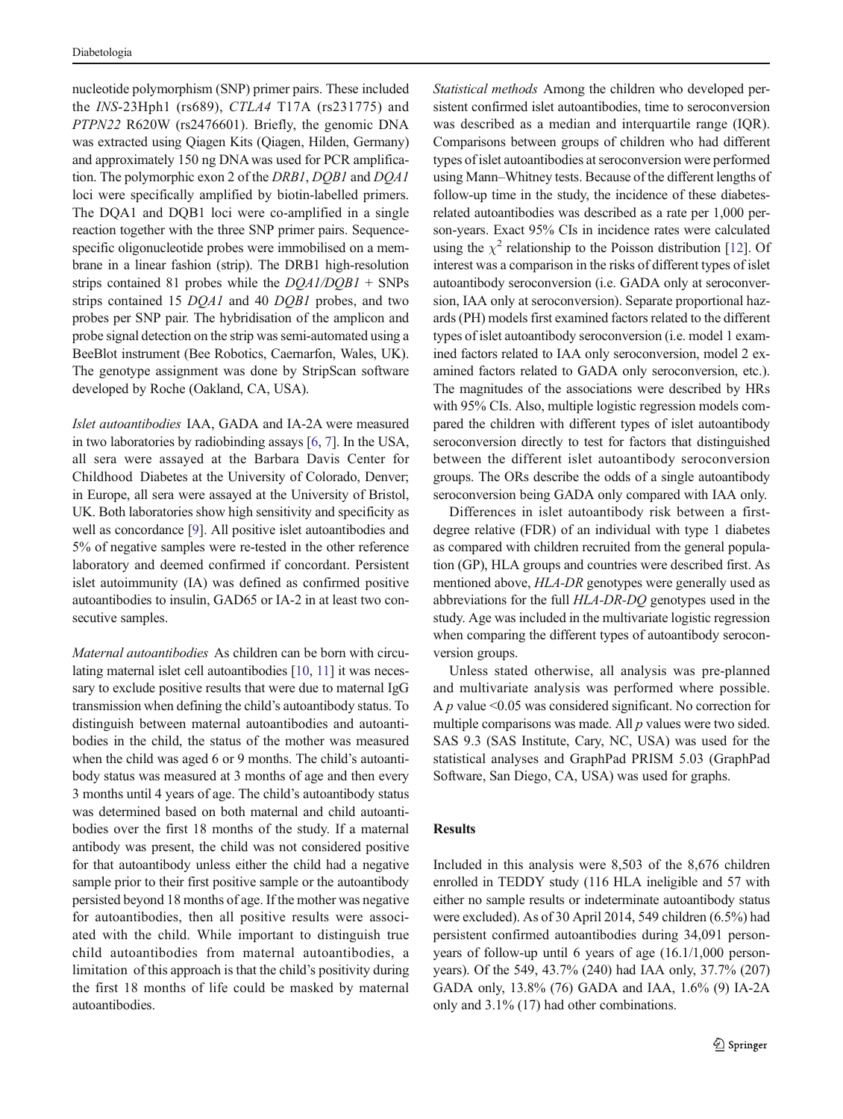nucleotide polymorphism (SNP) primer pairs. These included the INS-23Hph1 (rs689), CTLA4 T17A (rs231775) and PTPN22 R620W (rs2476601). Briefly, the genomic DNA was extracted using Qiagen Kits (Qiagen, Hilden, Germany) and approximately 150 ng DNA was used for PCR amplification. The polymorphic exon 2 of the DRB1, DQB1 and DQA1 loci were specifically amplified by biotin-labelled primers. The DQA1 and DQB1 loci were co-amplified in a single reaction together with the three SNP primer pairs. Sequencespecific oligonucleotide probes were immobilised on a membrane in a linear fashion (strip). The DRB1 high-resolution strips contained 81 probes while the  $DQA1/DQB1 + SNPs$ strips contained 15 DQA1 and 40 DQB1 probes, and two probes per SNP pair. The hybridisation of the amplicon and probe signal detection on the strip was semi-automated using a BeeBlot instrument (Bee Robotics, Caernarfon, Wales, UK). The genotype assignment was done by StripScan software developed by Roche (Oakland, CA, USA).

Islet autoantibodies IAA, GADA and IA-2A were measured in two laboratories by radiobinding assays [\[6,](#page-7-0) [7\]](#page-7-0). In the USA, all sera were assayed at the Barbara Davis Center for Childhood Diabetes at the University of Colorado, Denver; in Europe, all sera were assayed at the University of Bristol, UK. Both laboratories show high sensitivity and specificity as well as concordance [[9\]](#page-7-0). All positive islet autoantibodies and 5% of negative samples were re-tested in the other reference laboratory and deemed confirmed if concordant. Persistent islet autoimmunity (IA) was defined as confirmed positive autoantibodies to insulin, GAD65 or IA-2 in at least two consecutive samples.

Maternal autoantibodies As children can be born with circulating maternal islet cell autoantibodies [[10,](#page-7-0) [11](#page-7-0)] it was necessary to exclude positive results that were due to maternal IgG transmission when defining the child's autoantibody status. To distinguish between maternal autoantibodies and autoantibodies in the child, the status of the mother was measured when the child was aged 6 or 9 months. The child's autoantibody status was measured at 3 months of age and then every 3 months until 4 years of age. The child's autoantibody status was determined based on both maternal and child autoantibodies over the first 18 months of the study. If a maternal antibody was present, the child was not considered positive for that autoantibody unless either the child had a negative sample prior to their first positive sample or the autoantibody persisted beyond 18 months of age. If the mother was negative for autoantibodies, then all positive results were associated with the child. While important to distinguish true child autoantibodies from maternal autoantibodies, a limitation of this approach is that the child's positivity during the first 18 months of life could be masked by maternal autoantibodies.

Statistical methods Among the children who developed persistent confirmed islet autoantibodies, time to seroconversion was described as a median and interquartile range (IQR). Comparisons between groups of children who had different types of islet autoantibodies at seroconversion were performed using Mann–Whitney tests. Because of the different lengths of follow-up time in the study, the incidence of these diabetesrelated autoantibodies was described as a rate per 1,000 person-years. Exact 95% CIs in incidence rates were calculated using the  $\chi^2$  relationship to the Poisson distribution [[12](#page-7-0)]. Of interest was a comparison in the risks of different types of islet autoantibody seroconversion (i.e. GADA only at seroconversion, IAA only at seroconversion). Separate proportional hazards (PH) models first examined factors related to the different types of islet autoantibody seroconversion (i.e. model 1 examined factors related to IAA only seroconversion, model 2 examined factors related to GADA only seroconversion, etc.). The magnitudes of the associations were described by HRs with 95% CIs. Also, multiple logistic regression models compared the children with different types of islet autoantibody seroconversion directly to test for factors that distinguished between the different islet autoantibody seroconversion groups. The ORs describe the odds of a single autoantibody seroconversion being GADA only compared with IAA only.

Differences in islet autoantibody risk between a firstdegree relative (FDR) of an individual with type 1 diabetes as compared with children recruited from the general population (GP), HLA groups and countries were described first. As mentioned above, HLA-DR genotypes were generally used as abbreviations for the full HLA-DR-DQ genotypes used in the study. Age was included in the multivariate logistic regression when comparing the different types of autoantibody seroconversion groups.

Unless stated otherwise, all analysis was pre-planned and multivariate analysis was performed where possible. A  $p$  value <0.05 was considered significant. No correction for multiple comparisons was made. All  $p$  values were two sided. SAS 9.3 (SAS Institute, Cary, NC, USA) was used for the statistical analyses and GraphPad PRISM 5.03 (GraphPad Software, San Diego, CA, USA) was used for graphs.

## Results

Included in this analysis were 8,503 of the 8,676 children enrolled in TEDDY study (116 HLA ineligible and 57 with either no sample results or indeterminate autoantibody status were excluded). As of 30 April 2014, 549 children (6.5%) had persistent confirmed autoantibodies during 34,091 personyears of follow-up until 6 years of age (16.1/1,000 personyears). Of the 549, 43.7% (240) had IAA only, 37.7% (207) GADA only, 13.8% (76) GADA and IAA, 1.6% (9) IA-2A only and 3.1% (17) had other combinations.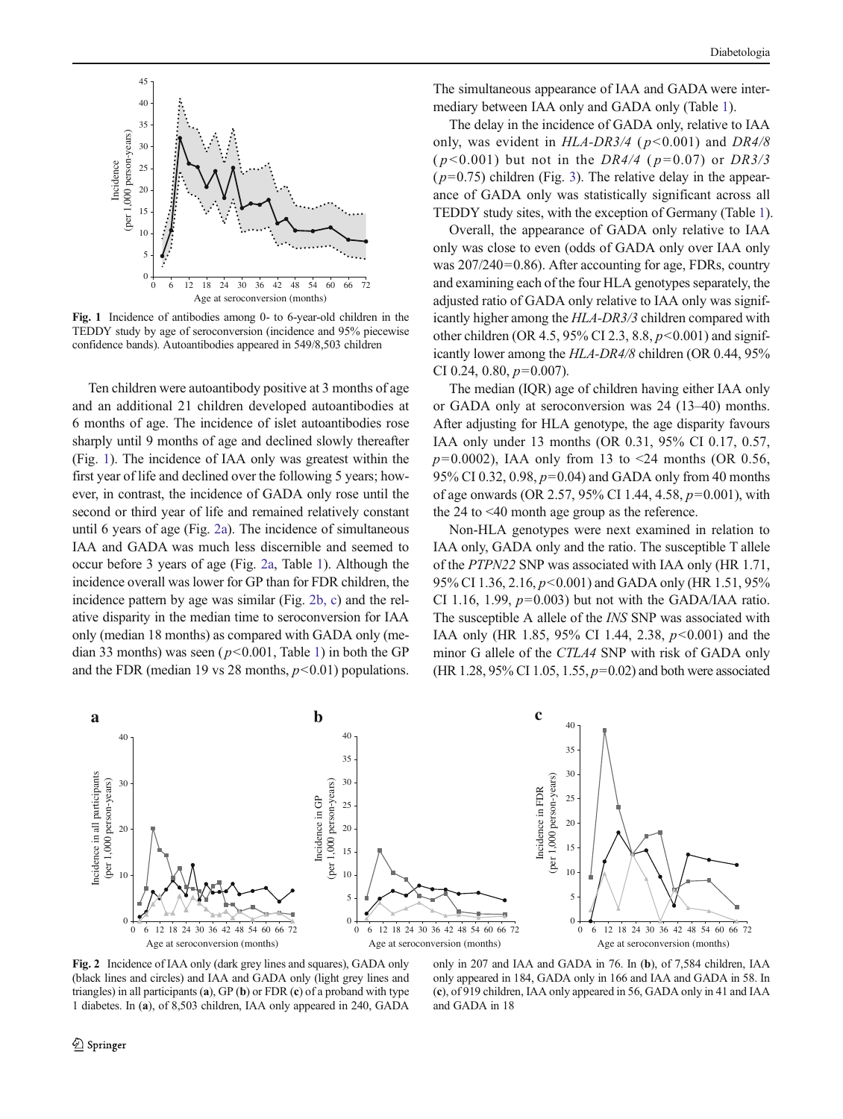<span id="page-3-0"></span>

Fig. 1 Incidence of antibodies among 0- to 6-year-old children in the TEDDY study by age of seroconversion (incidence and 95% piecewise confidence bands). Autoantibodies appeared in 549/8,503 children

Ten children were autoantibody positive at 3 months of age and an additional 21 children developed autoantibodies at 6 months of age. The incidence of islet autoantibodies rose sharply until 9 months of age and declined slowly thereafter (Fig. 1). The incidence of IAA only was greatest within the first year of life and declined over the following 5 years; however, in contrast, the incidence of GADA only rose until the second or third year of life and remained relatively constant until 6 years of age (Fig. 2a). The incidence of simultaneous IAA and GADA was much less discernible and seemed to occur before 3 years of age (Fig. 2a, Table [1\)](#page-4-0). Although the incidence overall was lower for GP than for FDR children, the incidence pattern by age was similar (Fig. 2b, c) and the relative disparity in the median time to seroconversion for IAA only (median 18 months) as compared with GADA only (median 33 months) was seen ( $p<0.001$ , Table [1\)](#page-4-0) in both the GP and the FDR (median 19 vs 28 months,  $p<0.01$ ) populations.

The simultaneous appearance of IAA and GADA were intermediary between IAA only and GADA only (Table [1](#page-4-0)).

The delay in the incidence of GADA only, relative to IAA only, was evident in  $HLA-DR3/4$  ( $p<0.001$ ) and  $DR4/8$  $(p<0.001)$  but not in the DR4/4 ( $p=0.07$ ) or DR3/3  $(p=0.75)$  children (Fig. [3](#page-5-0)). The relative delay in the appearance of GADA only was statistically significant across all TEDDY study sites, with the exception of Germany (Table [1](#page-4-0)).

Overall, the appearance of GADA only relative to IAA only was close to even (odds of GADA only over IAA only was 207/240=0.86). After accounting for age, FDRs, country and examining each of the four HLA genotypes separately, the adjusted ratio of GADA only relative to IAA only was significantly higher among the HLA-DR3/3 children compared with other children (OR 4.5, 95% CI 2.3, 8.8,  $p < 0.001$ ) and significantly lower among the HLA-DR4/8 children (OR 0.44, 95% CI 0.24, 0.80,  $p=0.007$ ).

The median (IQR) age of children having either IAA only or GADA only at seroconversion was 24 (13–40) months. After adjusting for HLA genotype, the age disparity favours IAA only under 13 months (OR 0.31, 95% CI 0.17, 0.57,  $p=0.0002$ ), IAA only from 13 to <24 months (OR 0.56, 95% CI 0.32, 0.98,  $p=0.04$ ) and GADA only from 40 months of age onwards (OR 2.57, 95% CI 1.44, 4.58,  $p=0.001$ ), with the 24 to <40 month age group as the reference.

Non-HLA genotypes were next examined in relation to IAA only, GADA only and the ratio. The susceptible T allele of the PTPN22 SNP was associated with IAA only (HR 1.71, 95% CI 1.36, 2.16,  $p$ <0.001) and GADA only (HR 1.51, 95% CI 1.16, 1.99,  $p=0.003$ ) but not with the GADA/IAA ratio. The susceptible A allele of the INS SNP was associated with IAA only (HR 1.85, 95% CI 1.44, 2.38,  $p<0.001$ ) and the minor G allele of the CTLA4 SNP with risk of GADA only (HR 1.28, 95% CI 1.05, 1.55,  $p=0.02$ ) and both were associated



Fig. 2 Incidence of IAA only (dark grey lines and squares), GADA only (black lines and circles) and IAA and GADA only (light grey lines and triangles) in all participants (a), GP (b) or FDR (c) of a proband with type 1 diabetes. In (a), of 8,503 children, IAA only appeared in 240, GADA

only in 207 and IAA and GADA in 76. In (b), of 7,584 children, IAA only appeared in 184, GADA only in 166 and IAA and GADA in 58. In (c), of 919 children, IAA only appeared in 56, GADA only in 41 and IAA and GADA in 18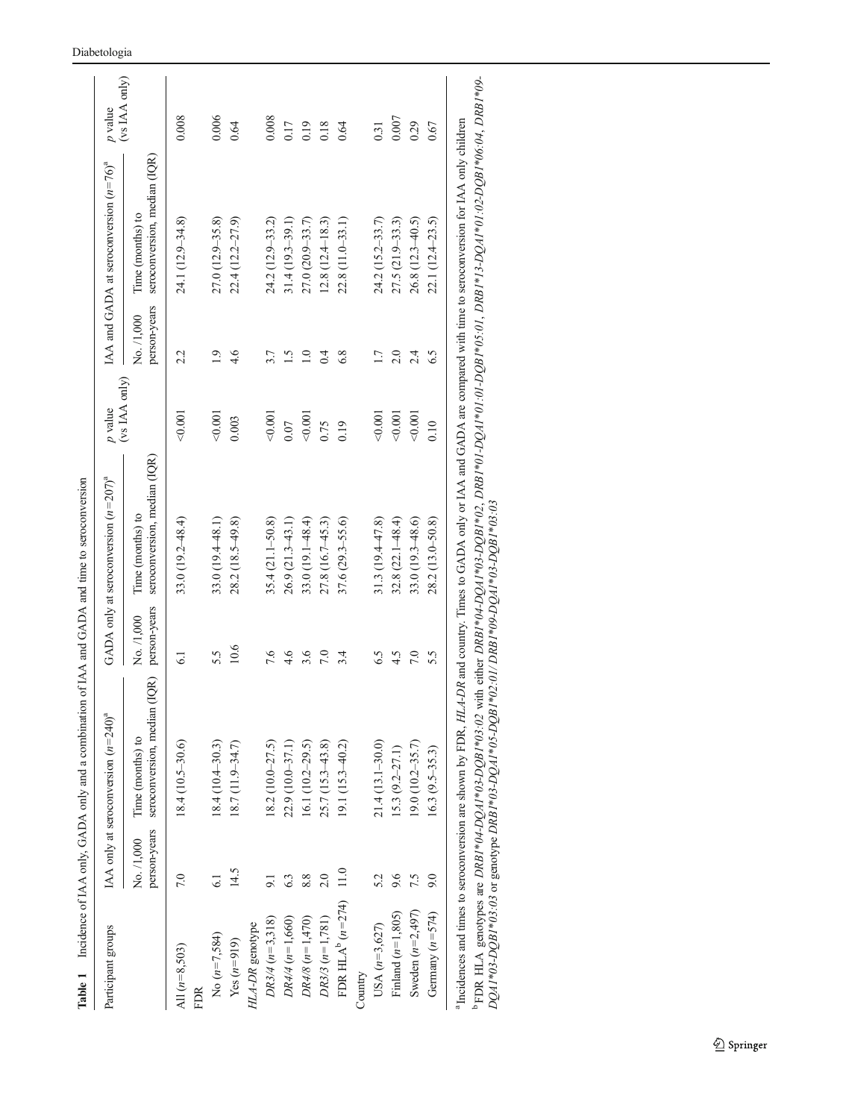<span id="page-4-0"></span>

| Participant groups            |                            | IAA only at seroconversion $(n=240)^{a}$            |                            | GADA only at seroconversion $(n=207)^{a}$        | $\boldsymbol{p}$ value |                            | IAA and GADA at seroconversion $(n=76)^{a}$      | $\boldsymbol{p}$ value |
|-------------------------------|----------------------------|-----------------------------------------------------|----------------------------|--------------------------------------------------|------------------------|----------------------------|--------------------------------------------------|------------------------|
|                               | person-years<br>No. /1,000 | (IQR)<br>seroconversion, median<br>Time (months) to | person-years<br>No. /1,000 | seroconversion, median (IQR)<br>Time (months) to | (vs IAA only)          | person-years<br>No. /1,000 | seroconversion, median (IQR)<br>Time (months) to | (vs IAA only)          |
| All $(n=8,503)$<br><b>FDR</b> | 7.0                        | $18.4(10.5-30.6)$                                   | 6.1                        | $33.0(19.2 - 48.4)$                              | 0.001                  | 2.2                        | 24.1 (12.9-34.8)                                 | 0.008                  |
| No $(n=7,584)$                | 61                         | $18.4(10.4 - 30.3)$                                 | 5.5                        | 33.0 (19.4-48.1)                                 | 0.001                  | 1.9                        | $27.0(12.9 - 35.8)$                              | 0.006                  |
| $Yes (n=919)$                 | 14.5                       | 18.7 (11.9-34.7)                                    | 10.6                       | $28.2(18.5-49.8)$                                | 0.003                  | 4.6                        | $22.4(12.2 - 27.9)$                              | 0.64                   |
| HLA-DR genotype               |                            |                                                     |                            |                                                  |                        |                            |                                                  |                        |
| $DR3/4 (n=3,318)$             | 9.1                        | $18.2(10.0 - 27.5)$                                 | 7.6                        | 35.4 (21.1-50.8)                                 | 0.001                  | 3.7                        | 24.2 (12.9-33.2)                                 | 0.008                  |
| $DR4/4 (n=1,660)$             | 6.3                        | 22.9 (10.0-37.1)                                    | 4.6                        | $26.9(21.3-43.1)$                                | 0.07                   | 1.5                        | $31.4(19.3 - 39.1)$                              | 0.17                   |
| $DR4/8$ $(n=1,470)$           | 8.8                        | 16.1 $(10.2 - 29.5)$                                | 3.6                        | $33.0(19.1 - 48.4)$                              | 0.001                  | $\overline{1.0}$           | $27.0(20.9 - 33.7)$                              | 0.19                   |
| $DR3/3 (n=1,781)$             | 2.0                        | $25.7(15.3 - 43.8)$                                 | 7.0                        | 27.8 (16.7-45.3)                                 | 0.75                   | 0.4                        | $12.8(12.4 - 18.3)$                              | 0.18                   |
| FDR HLA $^{b}$ ( $n=274$ )    | 11.0                       | $19.1(15.3 - 40.2)$                                 | 3.4                        | $37.6(29.3 - 55.6)$                              | 0.19                   | 6.8                        | 22.8 (11.0-33.1)                                 | 0.64                   |
| Country                       |                            |                                                     |                            |                                                  |                        |                            |                                                  |                        |
| USA $(n=3,627)$               | 5.2                        | $21.4(13.1 - 30.0)$                                 | 6.5                        | 31.3 (19.4-47.8)                                 | 0.001                  | 1.7                        | 24.2 (15.2–33.7)                                 | 0.31                   |
| Finland $(n=1,805)$           | 9.6                        | $15.3(9.2-27.1)$                                    | 4.5                        | $32.8(22.1 - 48.4)$                              | 0.001                  | 2.0                        | $27.5(21.9-33.3)$                                | 0.007                  |
| Sweden $(n=2,497)$            | 7.5                        | $(9.0 (10.2 - 35.7))$                               | 7.0                        | 33.0 (19.3-48.6)                                 | 0.001                  | 2.4                        | $26.8(12.3-40.5)$                                | 0.29                   |
| Germany $(n=574)$             | 9.0                        | $16.3 (9.5 - 35.3)$                                 | 5.5                        | $28.2(13.0 - 50.8)$                              | 0.10                   | 6.5                        | 22.1 (12.4-23.5)                                 | 0.67                   |

 $\frac{1}{a}$ <sup>1</sup> Incidences and times to seroconversion are shown by FDR,  $HLA-DR$  and country. Times to GADA only or IAA and GADA are compared with time to seroconversion for IAA only children

<sup>b</sup> FDR HLA genotypes are DRB1\*04-DQA1\*03-DQB1\*03:02 with either DRB1\*04-DQA1\*03-DQB1\*01-DQA1\*01:01-DQB1\*05:01, DRB1\*01:02-DQB1\*06:04, DRB1\*09-<br>DQA1\*03-DQB1\*03:03 or genotype DRB1\*03-DQA1\*03-DQB1\*02:01/DRB1\*03-DQB1\*03-03<br> b FDR HLA genotypes are DRB1\*04-DQA1\*03-DQB1\*03:02 with either DRB1\*04-DQA1\*03-DQB1\*02, DRB1\*01-DQA1\*01:01-DQB1\*05:01, DRB1\*13-DQA1\*01:02-DQB1\*06:04, DRB1\*09- DQA1\*03-DQB1\*03:03 or genotype DRB1\*03-DQA1\*05-DQB1\*02:01/ DRB1\*09-DQA1\*03-DQB1\*03:03

Diabetologia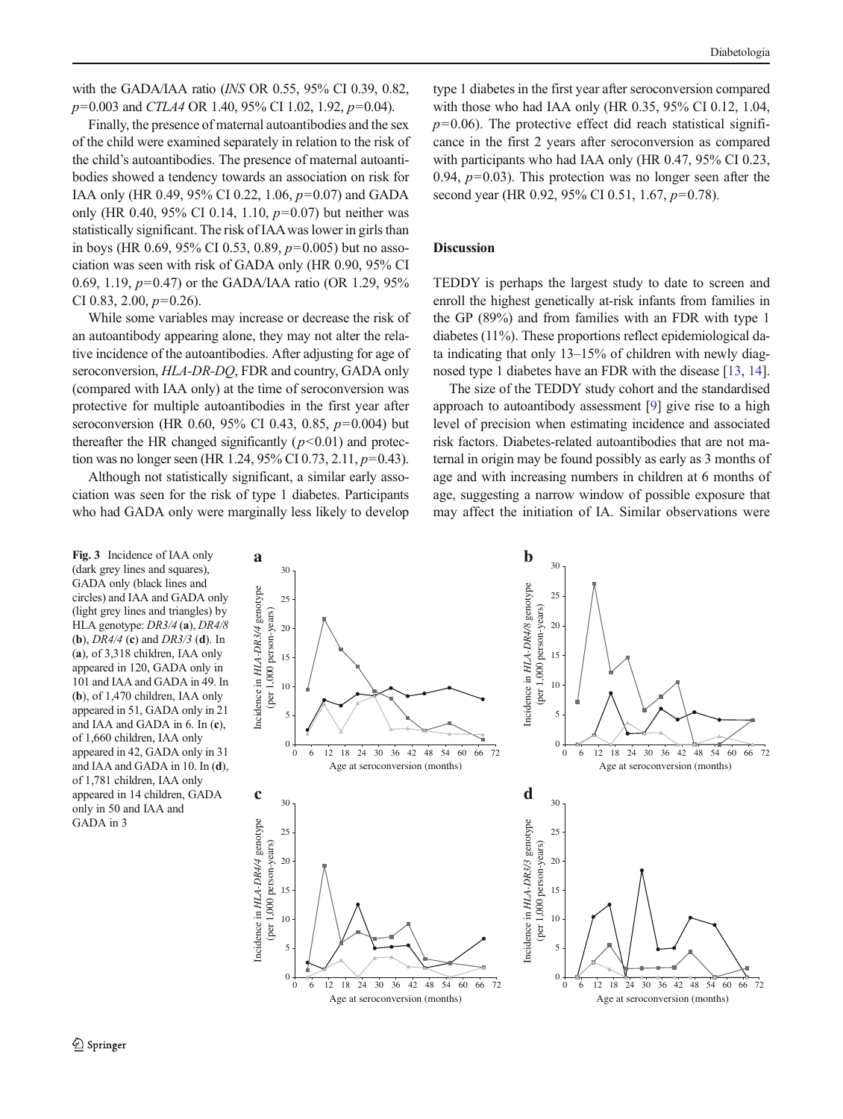<span id="page-5-0"></span>with the GADA/IAA ratio (INS OR 0.55, 95% CI 0.39, 0.82,  $p=0.003$  and CTLA4 OR 1.40, 95% CI 1.02, 1.92,  $p=0.04$ ).

Finally, the presence of maternal autoantibodies and the sex of the child were examined separately in relation to the risk of the child's autoantibodies. The presence of maternal autoantibodies showed a tendency towards an association on risk for IAA only (HR 0.49, 95% CI 0.22, 1.06, p=0.07) and GADA only (HR 0.40, 95% CI 0.14, 1.10,  $p=0.07$ ) but neither was statistically significant. The risk of IAAwas lower in girls than in boys (HR 0.69, 95% CI 0.53, 0.89,  $p=0.005$ ) but no association was seen with risk of GADA only (HR 0.90, 95% CI 0.69, 1.19, p=0.47) or the GADA/IAA ratio (OR 1.29, 95% CI 0.83, 2.00,  $p=0.26$ ).

While some variables may increase or decrease the risk of an autoantibody appearing alone, they may not alter the relative incidence of the autoantibodies. After adjusting for age of seroconversion, HLA-DR-DQ, FDR and country, GADA only (compared with IAA only) at the time of seroconversion was protective for multiple autoantibodies in the first year after seroconversion (HR 0.60, 95% CI 0.43, 0.85,  $p=0.004$ ) but thereafter the HR changed significantly ( $p$ <0.01) and protection was no longer seen (HR 1.24, 95% CI 0.73, 2.11,  $p=0.43$ ).

Although not statistically significant, a similar early association was seen for the risk of type 1 diabetes. Participants who had GADA only were marginally less likely to develop type 1 diabetes in the first year after seroconversion compared with those who had IAA only (HR 0.35, 95% CI 0.12, 1.04,  $p=0.06$ ). The protective effect did reach statistical significance in the first 2 years after seroconversion as compared with participants who had IAA only (HR 0.47, 95% CI 0.23, 0.94,  $p=0.03$ ). This protection was no longer seen after the second year (HR 0.92, 95% CI 0.51, 1.67,  $p=0.78$ ).

## Discussion

TEDDY is perhaps the largest study to date to screen and enroll the highest genetically at-risk infants from families in the GP (89%) and from families with an FDR with type 1 diabetes (11%). These proportions reflect epidemiological data indicating that only 13–15% of children with newly diagnosed type 1 diabetes have an FDR with the disease [\[13,](#page-7-0) [14\]](#page-7-0).

The size of the TEDDY study cohort and the standardised approach to autoantibody assessment [\[9](#page-7-0)] give rise to a high level of precision when estimating incidence and associated risk factors. Diabetes-related autoantibodies that are not maternal in origin may be found possibly as early as 3 months of age and with increasing numbers in children at 6 months of age, suggesting a narrow window of possible exposure that may affect the initiation of IA. Similar observations were

Fig. 3 Incidence of IAA only (dark grey lines and squares), GADA only (black lines and circles) and IAA and GADA only (light grey lines and triangles) by HLA genotype: DR3/4 (a), DR4/8 (**b**),  $DR4/4$  (**c**) and  $DR3/3$  (**d**). In (a), of 3,318 children, IAA only appeared in 120, GADA only in 101 and IAA and GADA in 49. In (b), of 1,470 children, IAA only appeared in 51, GADA only in 21 and IAA and GADA in 6. In (c), of 1,660 children, IAA only appeared in 42, GADA only in 31 and IAA and GADA in 10. In (d), of 1,781 children, IAA only appeared in 14 children, GADA only in 50 and IAA and GADA in 3

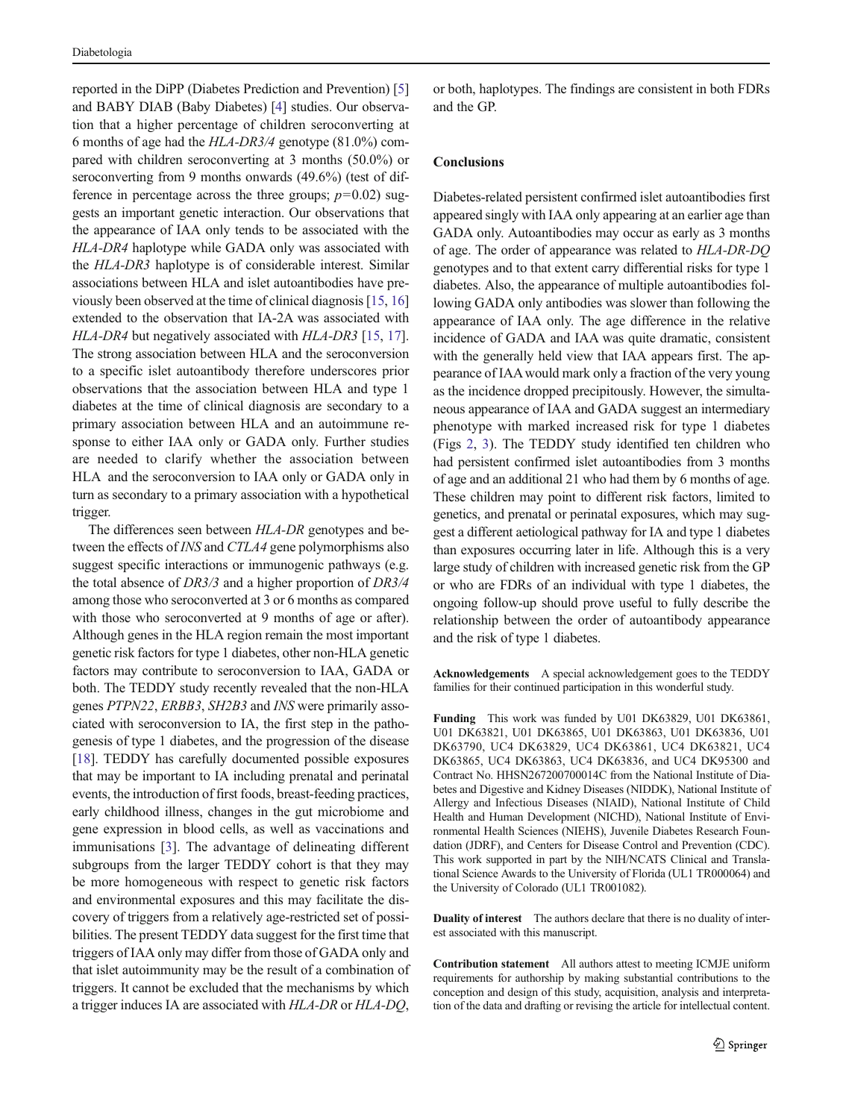<span id="page-6-0"></span>reported in the DiPP (Diabetes Prediction and Prevention) [\[5\]](#page-7-0) and BABY DIAB (Baby Diabetes) [[4\]](#page-7-0) studies. Our observation that a higher percentage of children seroconverting at 6 months of age had the HLA-DR3/4 genotype (81.0%) compared with children seroconverting at 3 months (50.0%) or seroconverting from 9 months onwards (49.6%) (test of difference in percentage across the three groups;  $p=0.02$ ) suggests an important genetic interaction. Our observations that the appearance of IAA only tends to be associated with the HLA-DR4 haplotype while GADA only was associated with the HLA-DR3 haplotype is of considerable interest. Similar associations between HLA and islet autoantibodies have previously been observed at the time of clinical diagnosis [\[15,](#page-7-0) [16\]](#page-7-0) extended to the observation that IA-2A was associated with HLA-DR4 but negatively associated with HLA-DR3 [[15,](#page-7-0) [17\]](#page-7-0). The strong association between HLA and the seroconversion to a specific islet autoantibody therefore underscores prior observations that the association between HLA and type 1 diabetes at the time of clinical diagnosis are secondary to a primary association between HLA and an autoimmune response to either IAA only or GADA only. Further studies are needed to clarify whether the association between HLA and the seroconversion to IAA only or GADA only in turn as secondary to a primary association with a hypothetical trigger.

The differences seen between HLA-DR genotypes and between the effects of INS and CTLA4 gene polymorphisms also suggest specific interactions or immunogenic pathways (e.g. the total absence of DR3/3 and a higher proportion of DR3/4 among those who seroconverted at 3 or 6 months as compared with those who seroconverted at 9 months of age or after). Although genes in the HLA region remain the most important genetic risk factors for type 1 diabetes, other non-HLA genetic factors may contribute to seroconversion to IAA, GADA or both. The TEDDY study recently revealed that the non-HLA genes PTPN22, ERBB3, SH2B3 and INS were primarily associated with seroconversion to IA, the first step in the pathogenesis of type 1 diabetes, and the progression of the disease [\[18\]](#page-7-0). TEDDY has carefully documented possible exposures that may be important to IA including prenatal and perinatal events, the introduction of first foods, breast-feeding practices, early childhood illness, changes in the gut microbiome and gene expression in blood cells, as well as vaccinations and immunisations [[3\]](#page-7-0). The advantage of delineating different subgroups from the larger TEDDY cohort is that they may be more homogeneous with respect to genetic risk factors and environmental exposures and this may facilitate the discovery of triggers from a relatively age-restricted set of possibilities. The present TEDDY data suggest for the first time that triggers of IAA only may differ from those of GADA only and that islet autoimmunity may be the result of a combination of triggers. It cannot be excluded that the mechanisms by which a trigger induces IA are associated with HLA-DR or HLA-DQ,

or both, haplotypes. The findings are consistent in both FDRs and the GP.

## **Conclusions**

Diabetes-related persistent confirmed islet autoantibodies first appeared singly with IAA only appearing at an earlier age than GADA only. Autoantibodies may occur as early as 3 months of age. The order of appearance was related to HLA-DR-DQ genotypes and to that extent carry differential risks for type 1 diabetes. Also, the appearance of multiple autoantibodies following GADA only antibodies was slower than following the appearance of IAA only. The age difference in the relative incidence of GADA and IAA was quite dramatic, consistent with the generally held view that IAA appears first. The appearance of IAAwould mark only a fraction of the very young as the incidence dropped precipitously. However, the simultaneous appearance of IAA and GADA suggest an intermediary phenotype with marked increased risk for type 1 diabetes (Figs [2,](#page-3-0) [3\)](#page-5-0). The TEDDY study identified ten children who had persistent confirmed islet autoantibodies from 3 months of age and an additional 21 who had them by 6 months of age. These children may point to different risk factors, limited to genetics, and prenatal or perinatal exposures, which may suggest a different aetiological pathway for IA and type 1 diabetes than exposures occurring later in life. Although this is a very large study of children with increased genetic risk from the GP or who are FDRs of an individual with type 1 diabetes, the ongoing follow-up should prove useful to fully describe the relationship between the order of autoantibody appearance and the risk of type 1 diabetes.

Acknowledgements A special acknowledgement goes to the TEDDY families for their continued participation in this wonderful study.

Funding This work was funded by U01 DK63829, U01 DK63861, U01 DK63821, U01 DK63865, U01 DK63863, U01 DK63836, U01 DK63790, UC4 DK63829, UC4 DK63861, UC4 DK63821, UC4 DK63865, UC4 DK63863, UC4 DK63836, and UC4 DK95300 and Contract No. HHSN267200700014C from the National Institute of Diabetes and Digestive and Kidney Diseases (NIDDK), National Institute of Allergy and Infectious Diseases (NIAID), National Institute of Child Health and Human Development (NICHD), National Institute of Environmental Health Sciences (NIEHS), Juvenile Diabetes Research Foundation (JDRF), and Centers for Disease Control and Prevention (CDC). This work supported in part by the NIH/NCATS Clinical and Translational Science Awards to the University of Florida (UL1 TR000064) and the University of Colorado (UL1 TR001082).

Duality of interest The authors declare that there is no duality of interest associated with this manuscript.

Contribution statement All authors attest to meeting ICMJE uniform requirements for authorship by making substantial contributions to the conception and design of this study, acquisition, analysis and interpretation of the data and drafting or revising the article for intellectual content.